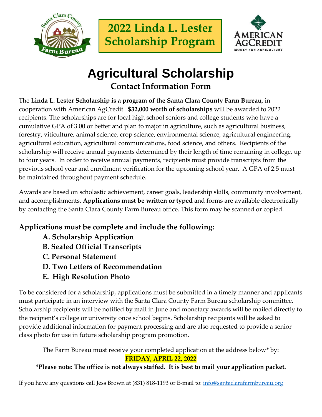



# **Agricultural Scholarship Contact Information Form**

The **Linda L. Lester Scholarship is a program of the Santa Clara County Farm Bureau**, in cooperation with American AgCredit. **\$32,000 worth of scholarships** will be awarded to 2022 recipients. The scholarships are for local high school seniors and college students who have a cumulative GPA of 3.00 or better and plan to major in agriculture, such as agricultural business, forestry, viticulture, animal science, crop science, environmental science, agricultural engineering, agricultural education, agricultural communications, food science, and others. Recipients of the scholarship will receive annual payments determined by their length of time remaining in college, up to four years. In order to receive annual payments, recipients must provide transcripts from the previous school year and enrollment verification for the upcoming school year. A GPA of 2.5 must be maintained throughout payment schedule.

Awards are based on scholastic achievement, career goals, leadership skills, community involvement, and accomplishments. **Applications must be written or typed** and forms are available electronically by contacting the Santa Clara County Farm Bureau office. This form may be scanned or copied.

## **Applications must be complete and include the following:**

- **A. Scholarship Application**
- **B. Sealed Official Transcripts**
- **C. Personal Statement**
- **D. Two Letters of Recommendation**
- **E. High Resolution Photo**

To be considered for a scholarship, applications must be submitted in a timely manner and applicants must participate in an interview with the Santa Clara County Farm Bureau scholarship committee. Scholarship recipients will be notified by mail in June and monetary awards will be mailed directly to the recipient's college or university once school begins. Scholarship recipients will be asked to provide additional information for payment processing and are also requested to provide a senior class photo for use in future scholarship program promotion.

The Farm Bureau must receive your completed application at the address below\* by: **FRIDAY, APRIL 22, 2022**

## **\*Please note: The office is not always staffed. It is best to mail your application packet.**

If you have any questions call Jess Brown at (831) 818-1193 or E-mail to: [info@santaclarafarmbureau.org](mailto:info@santaclarafarmbureau.org)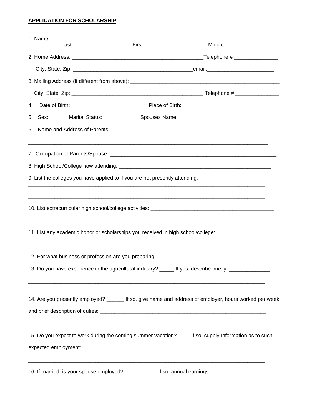### **APPLICATION FOR SCHOLARSHIP**

| 1. Name: ________________________                                            |       |                                                                                                          |  |
|------------------------------------------------------------------------------|-------|----------------------------------------------------------------------------------------------------------|--|
| Last                                                                         | First | Middle                                                                                                   |  |
|                                                                              |       |                                                                                                          |  |
|                                                                              |       |                                                                                                          |  |
|                                                                              |       |                                                                                                          |  |
|                                                                              |       |                                                                                                          |  |
| 4.                                                                           |       |                                                                                                          |  |
|                                                                              |       |                                                                                                          |  |
| 6.                                                                           |       |                                                                                                          |  |
|                                                                              |       |                                                                                                          |  |
|                                                                              |       |                                                                                                          |  |
| 9. List the colleges you have applied to if you are not presently attending: |       |                                                                                                          |  |
|                                                                              |       |                                                                                                          |  |
|                                                                              |       | 11. List any academic honor or scholarships you received in high school/college: __________________      |  |
|                                                                              |       |                                                                                                          |  |
|                                                                              |       | 13. Do you have experience in the agricultural industry? ______ If yes, describe briefly: ______________ |  |
|                                                                              |       | 14. Are you presently employed? _______ If so, give name and address of employer, hours worked per week  |  |
|                                                                              |       | 15. Do you expect to work during the coming summer vacation? _____ If so, supply Information as to such  |  |
|                                                                              |       | 16. If married, is your spouse employed? ______________ If so, annual earnings: ____________________     |  |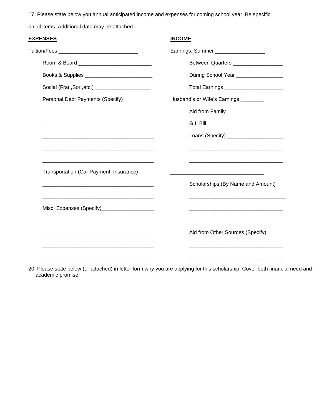17. Please state below you annual anticipated income and expenses for coming school year. Be specific

on all items. Additional data may be attached.

| <u>EXPENSES</u>                                                                                                       | <b>INCOME</b>                                                                                                        |
|-----------------------------------------------------------------------------------------------------------------------|----------------------------------------------------------------------------------------------------------------------|
| Tuition/Fees ________________________________                                                                         | Earnings: Summer ___________________                                                                                 |
| Room & Board <u>_____________________________</u>                                                                     | Between Quarters __________________                                                                                  |
| Books & Supplies _____________________________                                                                        | During School Year _________________                                                                                 |
| Social (Frat., Sor., etc.) ______________________                                                                     | Total Earnings ________________________                                                                              |
| Personal Debt Payments (Specify)                                                                                      | Husband's or Wife's Earnings ________                                                                                |
|                                                                                                                       | Aid from Family ______________________                                                                               |
|                                                                                                                       |                                                                                                                      |
|                                                                                                                       | Loans (Specify) _____________________                                                                                |
| <u> 1989 - Johann John Stone, market fan de Fryske kunstne fan de fan de fan de fan de fan de fan de fan de fan d</u> | <u> 1989 - Johann Barbara, martxa alemaniar argumento de la contrada de la contrada de la contrada de la contrad</u> |
|                                                                                                                       | <u> 1980 - Johann John Stone, markin fizik eta idazlea (h. 1980).</u>                                                |
| Transportation (Car Payment, Insurance)                                                                               |                                                                                                                      |
|                                                                                                                       | Scholarships (By Name and Amount)                                                                                    |
|                                                                                                                       |                                                                                                                      |
| Misc. Expenses (Specify)_____________________                                                                         | <u> 1989 - Johann Barbara, margaret eta idazlearia (h. 1989).</u>                                                    |
|                                                                                                                       | Aid from Other Sources (Specify)                                                                                     |
|                                                                                                                       |                                                                                                                      |
|                                                                                                                       |                                                                                                                      |

20. Please state below (or attached) in letter form why you are applying for this scholarship. Cover both financial need and academic promise.